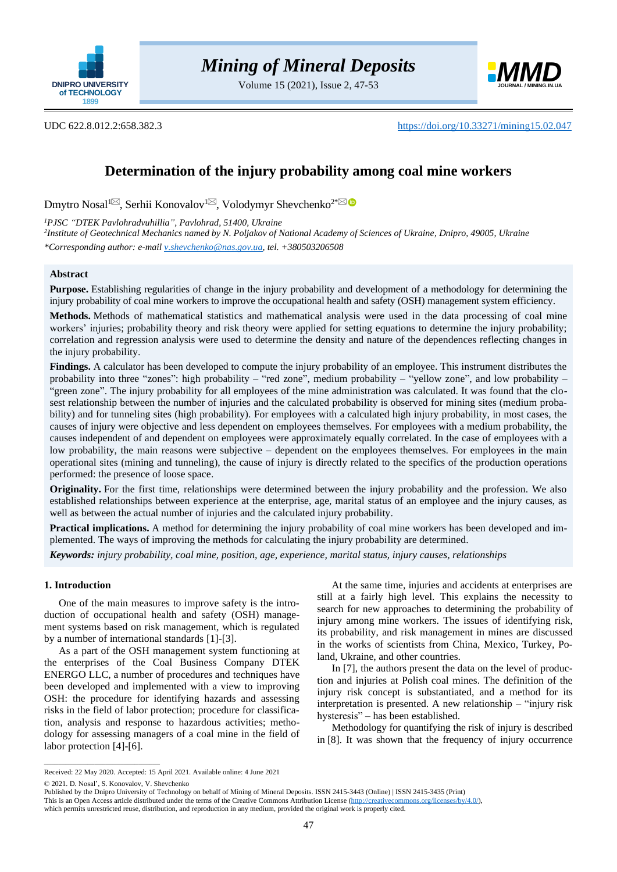

Volume 15 (2021), Issue 2, 47-53



# UDC 622.8.012.2:658.382.3 <https://doi.org/10.33271/mining15.02.047>

# **Determination of the injury probability among coal mine workers**

Dmytro Nosal<sup>1⊠</sup>[,](mailto:KonovalovSY@dtek.com) Serhii Konovalov<sup>1⊠</sup>, Volodymyr Shevchenko<sup>2[\\*](mailto:V.Shevchenko@nas.gov.ua)</sup>

*<sup>1</sup>PJSC "DTEK Pavlohradvuhillia", Pavlohrad, 51400, Ukraine*

*2 Institute of Geotechnical Mechanics named by N. Poljakov of National Academy of Sciences of Ukraine, Dnipro, 49005, Ukraine \*Corresponding author: e-mail [v.shevchenko@nas.gov.ua,](mailto:v.shevchenko@nas.gov.ua) tel. +380503206508*

### **Abstract**

**Purpose.** Establishing regularities of change in the injury probability and development of a methodology for determining the injury probability of coal mine workers to improve the occupational health and safety (OSH) management system efficiency.

**Methods.** Methods of mathematical statistics and mathematical analysis were used in the data processing of coal mine workers' injuries; probability theory and risk theory were applied for setting equations to determine the injury probability; correlation and regression analysis were used to determine the density and nature of the dependences reflecting changes in the injury probability.

**Findings.** A calculator has been developed to compute the injury probability of an employee. This instrument distributes the probability into three "zones": high probability – "red zone", medium probability – "yellow zone", and low probability – "green zone". The injury probability for all employees of the mine administration was calculated. It was found that the closest relationship between the number of injuries and the calculated probability is observed for mining sites (medium probability) and for tunneling sites (high probability). For employees with a calculated high injury probability, in most cases, the causes of injury were objective and less dependent on employees themselves. For employees with a medium probability, the causes independent of and dependent on employees were approximately equally correlated. In the case of employees with a low probability, the main reasons were subjective – dependent on the employees themselves. For employees in the main operational sites (mining and tunneling), the cause of injury is directly related to the specifics of the production operations performed: the presence of loose space.

**Originality.** For the first time, relationships were determined between the injury probability and the profession. We also established relationships between experience at the enterprise, age, marital status of an employee and the injury causes, as well as between the actual number of injuries and the calculated injury probability.

**Practical implications.** A method for determining the injury probability of coal mine workers has been developed and implemented. The ways of improving the methods for calculating the injury probability are determined.

*Keywords: injury probability, coal mine, position, age, experience, marital status, injury causes, relationships*

## **1. Introduction**

One of the main measures to improve safety is the introduction of occupational health and safety (OSH) management systems based on risk management, which is regulated by a number of international standards [\[1\]](#page-5-0)[-\[3\].](#page-5-1)

As a part of the OSH management system functioning at the enterprises of the Coal Business Company DTEK ENERGO LLC, a number of procedures and techniques have been developed and implemented with a view to improving OSH: the procedure for identifying hazards and assessing risks in the field of labor protection; procedure for classification, analysis and response to hazardous activities; methodology for assessing managers of a coal mine in the field of labor protection [\[4\]](#page-5-2)[-\[6\].](#page-5-3)

At the same time, injuries and accidents at enterprises are still at a fairly high level. This explains the necessity to search for new approaches to determining the probability of injury among mine workers. The issues of identifying risk, its probability, and risk management in mines are discussed in the works of scientists from China, Mexico, Turkey, Poland, Ukraine, and other countries.

In [\[7\],](#page-5-4) the authors present the data on the level of production and injuries at Polish coal mines. The definition of the injury risk concept is substantiated, and a method for its interpretation is presented. A new relationship – "injury risk hysteresis" – has been established.

Methodology for quantifying the risk of injury is described in [\[8\].](#page-5-5) It was shown that the frequency of injury occurrence

© 2021. D. Nosal', S. Konovalov, V. Shevchenko

 $\overline{\phantom{a}}$  ,  $\overline{\phantom{a}}$  ,  $\overline{\phantom{a}}$  ,  $\overline{\phantom{a}}$  ,  $\overline{\phantom{a}}$  ,  $\overline{\phantom{a}}$  ,  $\overline{\phantom{a}}$  ,  $\overline{\phantom{a}}$  ,  $\overline{\phantom{a}}$  ,  $\overline{\phantom{a}}$  ,  $\overline{\phantom{a}}$  ,  $\overline{\phantom{a}}$  ,  $\overline{\phantom{a}}$  ,  $\overline{\phantom{a}}$  ,  $\overline{\phantom{a}}$  ,  $\overline{\phantom{a}}$ 

Received: 22 May 2020. Accepted: 15 April 2021. Available online: 4 June 2021

Published by the Dnipro University of Technology on behalf of Mining of Mineral Deposits. ISSN 2415-3443 (Online) | ISSN 2415-3435 (Print)

This is an Open Access article distributed under the terms of the Creative Commons Attribution License [\(http://creativecommons.org/licenses/by/4.0/\)](http://creativecommons.org/licenses/by/4.0/),

which permits unrestricted reuse, distribution, and reproduction in any medium, provided the original work is properly cited.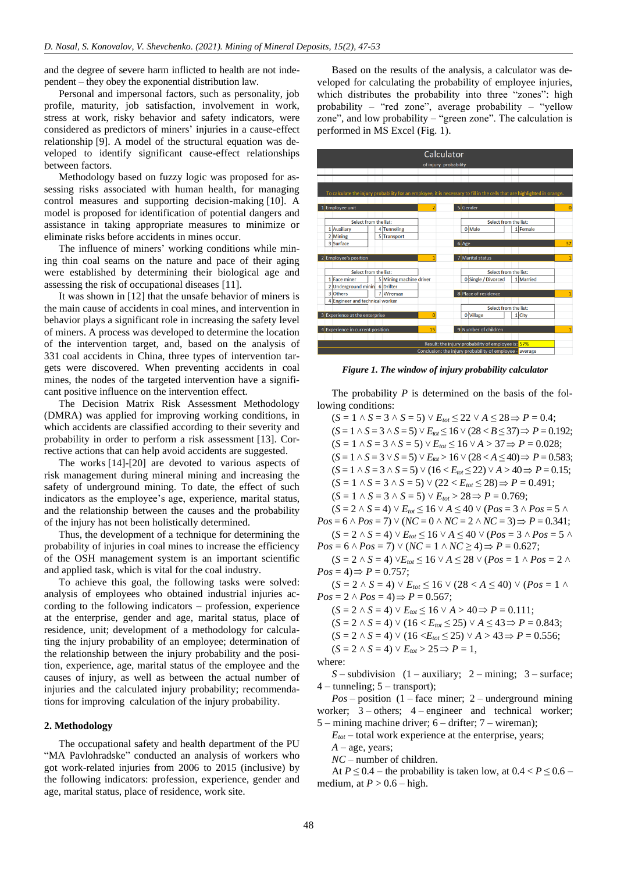and the degree of severe harm inflicted to health are not independent – they obey the exponential distribution law.

Personal and impersonal factors, such as personality, job profile, maturity, job satisfaction, involvement in work, stress at work, risky behavior and safety indicators, were considered as predictors of miners' injuries in a cause-effect relationship [\[9\].](#page-5-6) A model of the structural equation was developed to identify significant cause-effect relationships between factors.

Methodology based on fuzzy logic was proposed for assessing risks associated with human health, for managing control measures and supporting decision-making [\[10\].](#page-5-7) A model is proposed for identification of potential dangers and assistance in taking appropriate measures to minimize or eliminate risks before accidents in mines occur.

The influence of miners' working conditions while mining thin coal seams on the nature and pace of their aging were established by determining their biological age and assessing the risk of occupational diseases [\[11\].](#page-5-8)

It was shown in [\[12\]](#page-5-9) that the unsafe behavior of miners is the main cause of accidents in coal mines, and intervention in behavior plays a significant role in increasing the safety level of miners. A process was developed to determine the location of the intervention target, and, based on the analysis of 331 coal accidents in China, three types of intervention targets were discovered. When preventing accidents in coal mines, the nodes of the targeted intervention have a significant positive influence on the intervention effect.

The Decision Matrix Risk Assessment Methodology (DMRA) was applied for improving working conditions, in which accidents are classified according to their severity and probability in order to perform a risk assessment [\[13\].](#page-5-10) Corrective actions that can help avoid accidents are suggested.

The works [\[14\]](#page-5-11)[-\[20\]](#page-5-12) are devoted to various aspects of risk management during mineral mining and increasing the safety of underground mining. To date, the effect of such indicators as the employee's age, experience, marital status, and the relationship between the causes and the probability of the injury has not been holistically determined.

Thus, the development of a technique for determining the probability of injuries in coal mines to increase the efficiency of the OSH management system is an important scientific and applied task, which is vital for the coal industry.

To achieve this goal, the following tasks were solved: analysis of employees who obtained industrial injuries according to the following indicators – profession, experience at the enterprise, gender and age, marital status, place of residence, unit; development of a methodology for calculating the injury probability of an employee; determination of the relationship between the injury probability and the position, experience, age, marital status of the employee and the causes of injury, as well as between the actual number of injuries and the calculated injury probability; recommendations for improving calculation of the injury probability.

#### **2. Methodology**

The occupational safety and health department of the PU "MA Pavlohradske" conducted an analysis of workers who got work-related injuries from 2006 to 2015 (inclusive) by the following indicators: profession, experience, gender and age, marital status, place of residence, work site.

Based on the results of the analysis, a calculator was developed for calculating the probability of employee injuries, which distributes the probability into three "zones": high probability – "red zone", average probability – "yellow zone", and low probability – "green zone". The calculation is performed in MS Excel (Fig. 1).



*Figure 1. The window of injury probability calculator*

The probability *P* is determined on the basis of the following conditions:

 $(S = 1 \land S = 3 \land S = 5) \lor E_{tot} \le 22 \lor A \le 28 \Rightarrow P = 0.4;$  $(S = 1 \land S = 3 \land S = 5) \lor E_{\text{tot}} \le 16 \lor (28 < B \le 37) \Rightarrow P = 0.192;$  $(S = 1 \land S = 3 \land S = 5) \lor E_{tot} \le 16 \lor A > 37 \Rightarrow P = 0.028;$  $(S = 1 \land S = 3 \lor S = 5) \lor E_{tot} > 16 \lor (28 < A \leq 40) \Rightarrow P = 0.583;$  $(S = 1 \land S = 3 \land S = 5) \lor (16 < E_{tot} \le 22) \lor A > 40 \Rightarrow P = 0.15;$  $(S = 1 \land S = 3 \land S = 5) \lor (22 < E_{tot} \leq 28) \Rightarrow P = 0.491;$  $(S = 1 \land S = 3 \land S = 5) \lor E_{tot} > 28 \Rightarrow P = 0.769;$  $(S = 2 \land S = 4) \lor E_{tot} \le 16 \lor A \le 40 \lor (Pos = 3 \land Pos = 5 \land$  $Pos = 6 \land Pos = 7) \lor (NC = 0 \land NC = 2 \land NC = 3) \Rightarrow P = 0.341;$ 

 $(S = 2 \land S = 4) \lor E_{tot} \le 16 \lor A \le 40 \lor (Pos = 3 \land Pos = 5 \land$  $Pos = 6 \land Pos = 7) \lor (NC = 1 \land NC \ge 4) \Rightarrow P = 0.627;$ 

 $(S = 2 \land S = 4) \lor E_{tot} \le 16 \lor A \le 28 \lor (Pos = 1 \land Pos = 2 \land S)$  $Pos = 4 \implies P = 0.757;$ 

 $(S = 2 \land S = 4) \lor E_{tot} \le 16 \lor (28 < A \le 40) \lor (Pos = 1 \land$  $Pos = 2 \land Pos = 4 \implies P = 0.567;$ 

- $(S = 2 \land S = 4) \lor E_{tot} \le 16 \lor A > 40 \Rightarrow P = 0.111;$
- $(S = 2 \land S = 4) \lor (16 < E_{\text{tot}} \leq 25) \lor A \leq 43 \Rightarrow P = 0.843;$
- $(S = 2 \land S = 4) \lor (16 \le E_{tot} \le 25) \lor A > 43 \Rightarrow P = 0.556;$
- $(S = 2 \land S = 4) \lor E_{tot} > 25 \Rightarrow P = 1,$

where:

*S* – subdivision (1 – auxiliary; 2 – mining; 3 – surface;  $4$  – tunneling;  $5$  – transport);

*Pos* – position (1 – face miner; 2 – underground mining worker; 3 – others; 4 – engineer and technical worker; 5 – mining machine driver; 6 – drifter; 7 – wireman);

 $E_{tot}$  – total work experience at the enterprise, years;

 $A$  – age, years;

*NC* – number of children.

At  $P \le 0.4$  – the probability is taken low, at  $0.4 < P \le 0.6$  – medium, at  $P > 0.6$  – high.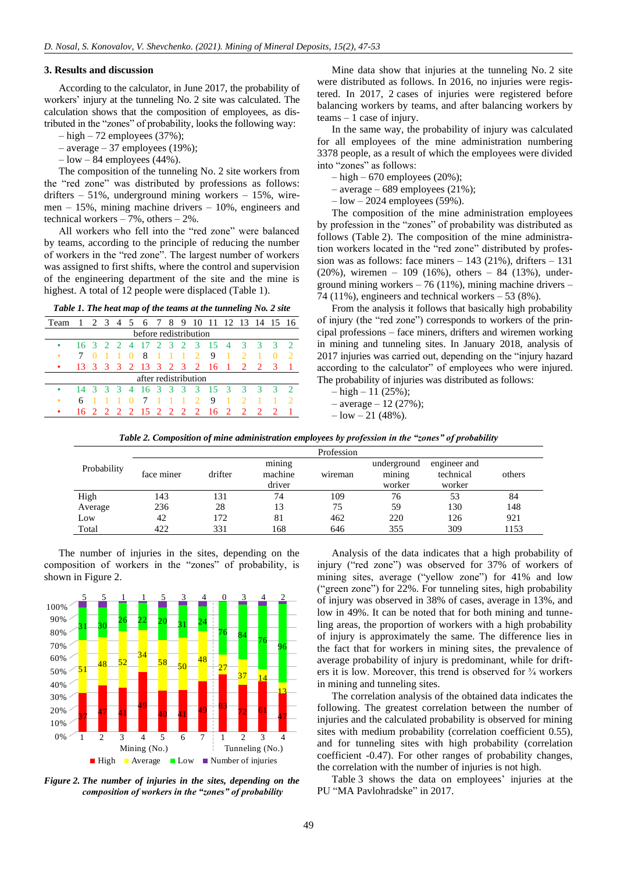#### **3. Results and discussion**

According to the calculator, in June 2017, the probability of workers' injury at the tunneling No. 2 site was calculated. The calculation shows that the composition of employees, as distributed in the "zones" of probability, looks the following way:

 $-$  high  $-72$  employees (37%);

- average 37 employees (19%);
- $-$  low  $-$  84 employees (44%).

The composition of the tunneling No. 2 site workers from the "red zone" was distributed by professions as follows: drifters  $-51\%$ , underground mining workers  $-15\%$ , wiremen – 15%, mining machine drivers – 10%, engineers and technical workers – 7%, others – 2%.

All workers who fell into the "red zone" were balanced by teams, according to the principle of reducing the number of workers in the "red zone". The largest number of workers was assigned to first shifts, where the control and supervision of the engineering department of the site and the mine is highest. A total of 12 people were displaced (Table 1).

| Table 1. The heat map of the teams at the tunneling No. 2 site |  |  |
|----------------------------------------------------------------|--|--|
|----------------------------------------------------------------|--|--|

| Team                  | $\overline{1}$ |  |  |  |          |                                                      |  |  |                |                |                                                  |                |                |               |               | 2 3 4 5 6 7 8 9 10 11 12 13 14 15 16 |
|-----------------------|----------------|--|--|--|----------|------------------------------------------------------|--|--|----------------|----------------|--------------------------------------------------|----------------|----------------|---------------|---------------|--------------------------------------|
| before redistribution |                |  |  |  |          |                                                      |  |  |                |                |                                                  |                |                |               |               |                                      |
| ٠                     |                |  |  |  |          | 16 3 2 2 4 17                                        |  |  |                |                | 2 3 2 3 15 4                                     |                |                |               |               |                                      |
| ٠                     |                |  |  |  | $\Omega$ | -8                                                   |  |  | $\blacksquare$ | $\overline{2}$ | 9                                                |                |                |               |               |                                      |
| ٠                     |                |  |  |  |          | 13    3    3    3    2   13    3    2    3    2   16 |  |  |                |                |                                                  | $\blacksquare$ | $\overline{2}$ | $\mathcal{D}$ | $\mathcal{R}$ |                                      |
| after redistribution  |                |  |  |  |          |                                                      |  |  |                |                |                                                  |                |                |               |               |                                      |
| ٠                     |                |  |  |  |          |                                                      |  |  |                |                | 14   3   3   3   4   16   3   3   3   3   15   3 |                | 3              | -3            |               |                                      |
| ٠                     |                |  |  |  |          |                                                      |  |  |                |                | 9                                                |                |                |               |               |                                      |
| ٠                     |                |  |  |  |          | 16 2 2 2 2 15 2 2 2 2 16                             |  |  |                |                |                                                  | $\overline{2}$ | $\mathcal{D}$  |               |               |                                      |

Mine data show that injuries at the tunneling No. 2 site were distributed as follows. In 2016, no injuries were registered. In 2017, 2 cases of injuries were registered before balancing workers by teams, and after balancing workers by  $t$ eams  $-1$  case of injury.

In the same way, the probability of injury was calculated for all employees of the mine administration numbering 3378 people, as a result of which the employees were divided into "zones" as follows:

- $-$  high  $-670$  employees (20%);
- average 689 employees  $(21\%)$ ;
- $-$ low  $-$  2024 employees (59%).

The composition of the mine administration employees by profession in the "zones" of probability was distributed as follows (Table 2). The composition of the mine administration workers located in the "red zone" distributed by profession was as follows: face miners  $-143$  (21%), drifters  $-131$ (20%), wiremen – 109 (16%), others – 84 (13%), underground mining workers  $-76$  (11%), mining machine drivers  $-$ 74 (11%), engineers and technical workers  $-53$  (8%).

From the analysis it follows that basically high probability of injury (the "red zone") corresponds to workers of the principal professions – face miners, drifters and wiremen working in mining and tunneling sites. In January 2018, analysis of 2017 injuries was carried out, depending on the "injury hazard according to the calculator" of employees who were injured. The probability of injuries was distributed as follows:

- $-$  high  $-11$  (25%);
- $-$  average  $-12$  (27%);
- $-$  low  $-$  21 (48%).

*Table 2. Composition of mine administration employees by profession in the "zones" of probability*

|             | Profession |         |                             |         |                                 |                                     |        |  |  |  |
|-------------|------------|---------|-----------------------------|---------|---------------------------------|-------------------------------------|--------|--|--|--|
| Probability | face miner | drifter | mining<br>machine<br>driver | wireman | underground<br>mining<br>worker | engineer and<br>technical<br>worker | others |  |  |  |
| High        | 143        | 131     | 74                          | 109     | 76                              | 53                                  | 84     |  |  |  |
| Average     | 236        | 28      | 13                          | 75      | 59                              | 130                                 | 148    |  |  |  |
| Low         | 42         | 172     | 81                          | 462     | 220                             | 126                                 | 921    |  |  |  |
| Total       | 422        | 331     | 168                         | 646     | 355                             | 309                                 | 1153   |  |  |  |

The number of injuries in the sites, depending on the composition of workers in the "zones" of probability, is shown in Figure 2.



*Figure 2. The number of injuries in the sites, depending on the composition of workers in the "zones" of probability*

Analysis of the data indicates that a high probability of injury ("red zone") was observed for 37% of workers of mining sites, average ("yellow zone") for 41% and low ("green zone") for 22%. For tunneling sites, high probability of injury was observed in 38% of cases, average in 13%, and low in 49%. It can be noted that for both mining and tunneling areas, the proportion of workers with a high probability of injury is approximately the same. The difference lies in the fact that for workers in mining sites, the prevalence of average probability of injury is predominant, while for drifters it is low. Moreover, this trend is observed for ¾ workers in mining and tunneling sites.

The correlation analysis of the obtained data indicates the following. The greatest correlation between the number of injuries and the calculated probability is observed for mining sites with medium probability (correlation coefficient 0.55), and for tunneling sites with high probability (correlation coefficient -0.47). For other ranges of probability changes, the correlation with the number of injuries is not high.

Table 3 shows the data on employees' injuries at the PU "MA Pavlohradske" in 2017.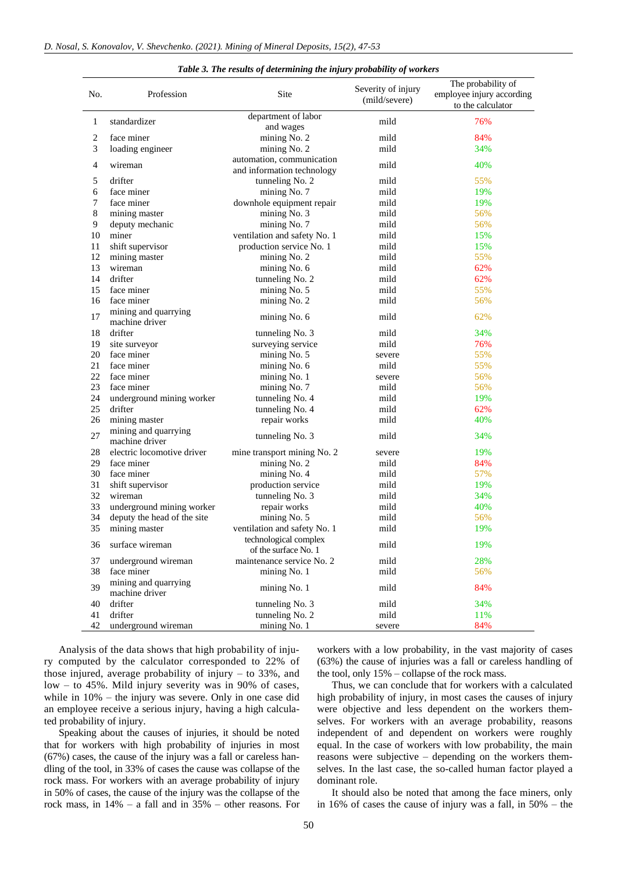| No. | Profession                             | Site                                                    | Severity of injury<br>(mild/severe) | The probability of<br>employee injury according<br>to the calculator |
|-----|----------------------------------------|---------------------------------------------------------|-------------------------------------|----------------------------------------------------------------------|
| 1   | standardizer                           | department of labor<br>and wages                        | mild                                | 76%                                                                  |
| 2   | face miner                             | mining No. 2                                            | mild                                | 84%                                                                  |
| 3   | loading engineer                       | mining No. 2                                            | mild                                | 34%                                                                  |
| 4   | wireman                                | automation, communication<br>and information technology | mild                                | 40%                                                                  |
| 5   | drifter                                | tunneling No. 2                                         | mild                                | 55%                                                                  |
| 6   | face miner                             | mining No. 7                                            | mild                                | 19%                                                                  |
| 7   | face miner                             | downhole equipment repair                               | mild                                | 19%                                                                  |
| 8   | mining master                          | mining No. 3                                            | mild                                | 56%                                                                  |
| 9   | deputy mechanic                        | mining No. 7                                            | mild                                | 56%                                                                  |
| 10  | miner                                  | ventilation and safety No. 1                            | mild                                | 15%                                                                  |
| 11  | shift supervisor                       | production service No. 1                                | mild                                | 15%                                                                  |
| 12  | mining master                          | mining No. 2                                            | mild                                | 55%                                                                  |
| 13  | wireman                                | mining No. 6                                            | mild                                | 62%                                                                  |
| 14  | drifter                                | tunneling No. 2                                         | mild                                | 62%                                                                  |
| 15  | face miner                             | mining No. 5                                            | mild                                | 55%                                                                  |
| 16  | face miner                             | mining No. 2                                            | mild                                | 56%                                                                  |
| 17  | mining and quarrying<br>machine driver | mining No. 6                                            | mild                                | 62%                                                                  |
| 18  | drifter                                | tunneling No. 3                                         | mild                                | 34%                                                                  |
| 19  | site surveyor                          | surveying service                                       | mild                                | 76%                                                                  |
| 20  | face miner                             | mining No. 5                                            | severe                              | 55%                                                                  |
| 21  | face miner                             | mining No. 6                                            | mild                                | 55%                                                                  |
| 22  | face miner                             | mining No. 1                                            | severe                              | 56%                                                                  |
| 23  | face miner                             | mining No. 7                                            | mild                                | 56%                                                                  |
| 24  | underground mining worker              | tunneling No. 4                                         | mild                                | 19%                                                                  |
| 25  | drifter                                | tunneling No. 4                                         | mild                                | 62%                                                                  |
| 26  | mining master                          | repair works                                            | mild                                | 40%                                                                  |
| 27  | mining and quarrying<br>machine driver | tunneling No. 3                                         | mild                                | 34%                                                                  |
| 28  | electric locomotive driver             | mine transport mining No. 2                             | severe                              | 19%                                                                  |
| 29  | face miner                             | mining No. 2                                            | mild                                | 84%                                                                  |
| 30  | face miner                             | mining No. 4                                            | mild                                | 57%                                                                  |
| 31  | shift supervisor                       | production service                                      | mild                                | 19%                                                                  |
| 32  | wireman                                | tunneling No. 3                                         | mild                                | 34%                                                                  |
| 33  | underground mining worker              | repair works                                            | mild                                | 40%                                                                  |
| 34  | deputy the head of the site            | mining No. 5                                            | mild                                | 56%                                                                  |
| 35  | mining master                          | ventilation and safety No. 1                            | mild                                | 19%                                                                  |
|     |                                        | technological complex                                   |                                     |                                                                      |
| 36  | surface wireman                        | of the surface No. 1                                    | $_{\rm mild}$                       | 19%                                                                  |
| 37  | underground wireman                    | maintenance service No. 2                               | mild                                | 28%                                                                  |
| 38  | face miner                             | mining No. 1                                            | mild                                | 56%                                                                  |
| 39  | mining and quarrying<br>machine driver | mining No. 1                                            | mild                                | 84%                                                                  |
| 40  | drifter                                | tunneling No. 3                                         | mild                                | 34%                                                                  |
| 41  | drifter                                | tunneling No. 2                                         | mild                                | 11%                                                                  |
| 42  | underground wireman                    | mining No. 1                                            | severe                              | 84%                                                                  |

#### *Table 3. The results of determining the injury probability of workers*

Analysis of the data shows that high probability of injury computed by the calculator corresponded to 22% of those injured, average probability of injury  $-$  to 33%, and low – to 45%. Mild injury severity was in 90% of cases, while in 10% – the injury was severe. Only in one case did an employee receive a serious injury, having a high calculated probability of injury.

 $\overline{a}$ 

Speaking about the causes of injuries, it should be noted that for workers with high probability of injuries in most (67%) cases, the cause of the injury was a fall or careless handling of the tool, in 33% of cases the cause was collapse of the rock mass. For workers with an average probability of injury in 50% of cases, the cause of the injury was the collapse of the rock mass, in 14% – a fall and in 35% – other reasons. For workers with a low probability, in the vast majority of cases (63%) the cause of injuries was a fall or careless handling of the tool, only 15% – collapse of the rock mass.

Thus, we can conclude that for workers with a calculated high probability of injury, in most cases the causes of injury were objective and less dependent on the workers themselves. For workers with an average probability, reasons independent of and dependent on workers were roughly equal. In the case of workers with low probability, the main reasons were subjective – depending on the workers themselves. In the last case, the so-called human factor played a dominant role.

It should also be noted that among the face miners, only in 16% of cases the cause of injury was a fall, in 50% – the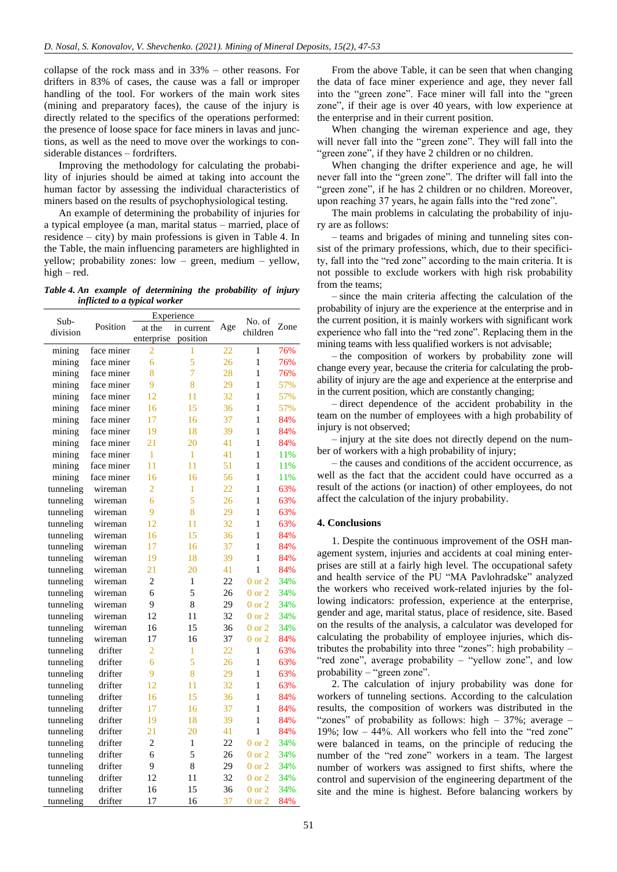collapse of the rock mass and in 33% – other reasons. For drifters in 83% of cases, the cause was a fall or improper handling of the tool. For workers of the main work sites (mining and preparatory faces), the cause of the injury is directly related to the specifics of the operations performed: the presence of loose space for face miners in lavas and junctions, as well as the need to move over the workings to considerable distances – fordrifters.

Improving the methodology for calculating the probability of injuries should be aimed at taking into account the human factor by assessing the individual characteristics of miners based on the results of psychophysiological testing.

An example of determining the probability of injuries for a typical employee (a man, marital status – married, place of residence – city) by main professions is given in Table 4. In the Table, the main influencing parameters are highlighted in yellow; probability zones: low – green, medium – yellow, high – red.

*Table 4. An example of determining the probability of injury inflicted to a typical worker*

| $Sub-$    |            |                | Experience   |                 |                    | Zone |
|-----------|------------|----------------|--------------|-----------------|--------------------|------|
| division  | Position   | at the         | in current   | Age             | No. of<br>children |      |
|           |            | enterprise     | position     |                 |                    |      |
| mining    | face miner | 2              | 1            | $\overline{22}$ | 1                  | 76%  |
| mining    | face miner | 6              | 5            | 26              | $\mathbf{1}$       | 76%  |
| mining    | face miner | $\overline{8}$ | 7            | 28              | 1                  | 76%  |
| mining    | face miner | 9              | 8            | 29              | 1                  | 57%  |
| mining    | face miner | 12             | 11           | 32              | 1                  | 57%  |
| mining    | face miner | 16             | 15           | 36              | 1                  | 57%  |
| mining    | face miner | 17             | 16           | 37              | 1                  | 84%  |
| mining    | face miner | 19             | 18           | 39              | 1                  | 84%  |
| mining    | face miner | 21             | 20           | 41              | $\mathbf{1}$       | 84%  |
| mining    | face miner | 1              | $\mathbf{1}$ | 41              | 1                  | 11%  |
| mining    | face miner | 11             | 11           | 51              | 1                  | 11%  |
| mining    | face miner | 16             | 16           | 56              | 1                  | 11%  |
| tunneling | wireman    | $\overline{2}$ | 1            | 22              | 1                  | 63%  |
| tunneling | wireman    | 6              | 5            | 26              | 1                  | 63%  |
| tunneling | wireman    | 9              | 8            | 29              | 1                  | 63%  |
| tunneling | wireman    | 12             | 11           | 32              | $\mathbf{1}$       | 63%  |
| tunneling | wireman    | 16             | 15           | 36              | 1                  | 84%  |
| tunneling | wireman    | 17             | 16           | 37              | 1                  | 84%  |
| tunneling | wireman    | 19             | 18           | 39              | 1                  | 84%  |
| tunneling | wireman    | 21             | 20           | 41              | 1                  | 84%  |
| tunneling | wireman    | $\overline{2}$ | $\mathbf{1}$ | 22              | $0$ or $2$         | 34%  |
| tunneling | wireman    | 6              | 5            | 26              | $0$ or $2$         | 34%  |
| tunneling | wireman    | 9              | 8            | 29              | $0$ or $2$         | 34%  |
| tunneling | wireman    | 12             | 11           | 32              | $0$ or $2$         | 34%  |
| tunneling | wireman    | 16             | 15           | 36              | $0$ or $2$         | 34%  |
| tunneling | wireman    | 17             | 16           | 37              | $0$ or $2$         | 84%  |
| tunneling | drifter    | $\overline{2}$ | $\mathbf{1}$ | 22              | $\mathbf{1}$       | 63%  |
| tunneling | drifter    | 6              | 5            | 26              | 1                  | 63%  |
| tunneling | drifter    | 9              | 8            | 29              | 1                  | 63%  |
| tunneling | drifter    | 12             | 11           | 32              | $\mathbf{1}$       | 63%  |
| tunneling | drifter    | 16             | 15           | 36              | 1                  | 84%  |
| tunneling | drifter    | 17             | 16           | 37              | 1                  | 84%  |
| tunneling | drifter    | 19             | 18           | 39              | 1                  | 84%  |
| tunneling | drifter    | 21             | 20           | 41              | 1                  | 84%  |
| tunneling | drifter    | $\overline{2}$ | 1            | 22              | $0$ or $2$         | 34%  |
| tunneling | drifter    | 6              | 5            | 26              | $0$ or $2$         | 34%  |
| tunneling | drifter    | 9              | 8            | 29              | $0$ or $2$         | 34%  |
| tunneling | drifter    | 12             | 11           | 32              | $0$ or $2$         | 34%  |
| tunneling | drifter    | 16             | 15           | 36              | $0$ or $2$         | 34%  |
| tunneling | drifter    | 17             | 16           | 37              | $0$ or $2$         | 84%  |

From the above Table, it can be seen that when changing the data of face miner experience and age, they never fall into the "green zone". Face miner will fall into the "green zone", if their age is over 40 years, with low experience at the enterprise and in their current position.

When changing the wireman experience and age, they will never fall into the "green zone". They will fall into the "green zone", if they have 2 children or no children.

When changing the drifter experience and age, he will never fall into the "green zone". The drifter will fall into the "green zone", if he has 2 children or no children. Moreover, upon reaching 37 years, he again falls into the "red zone".

The main problems in calculating the probability of injury are as follows:

– teams and brigades of mining and tunneling sites consist of the primary professions, which, due to their specificity, fall into the "red zone" according to the main criteria. It is not possible to exclude workers with high risk probability from the teams;

– since the main criteria affecting the calculation of the probability of injury are the experience at the enterprise and in the current position, it is mainly workers with significant work experience who fall into the "red zone". Replacing them in the mining teams with less qualified workers is not advisable;

– the composition of workers by probability zone will change every year, because the criteria for calculating the probability of injury are the age and experience at the enterprise and in the current position, which are constantly changing;

– direct dependence of the accident probability in the team on the number of employees with a high probability of injury is not observed;

– injury at the site does not directly depend on the number of workers with a high probability of injury;

– the causes and conditions of the accident occurrence, as well as the fact that the accident could have occurred as a result of the actions (or inaction) of other employees, do not affect the calculation of the injury probability.

# **4. Conclusions**

1. Despite the continuous improvement of the OSH management system, injuries and accidents at coal mining enterprises are still at a fairly high level. The occupational safety and health service of the PU "MA Pavlohradske" analyzed the workers who received work-related injuries by the following indicators: profession, experience at the enterprise, gender and age, marital status, place of residence, site. Based on the results of the analysis, a calculator was developed for calculating the probability of employee injuries, which distributes the probability into three "zones": high probability – "red zone", average probability – "yellow zone", and low probability – "green zone".

2. The calculation of injury probability was done for workers of tunneling sections. According to the calculation results, the composition of workers was distributed in the "zones" of probability as follows: high  $-37\%$ ; average  $-$ 19%; low – 44%. All workers who fell into the "red zone" were balanced in teams, on the principle of reducing the number of the "red zone" workers in a team. The largest number of workers was assigned to first shifts, where the control and supervision of the engineering department of the site and the mine is highest. Before balancing workers by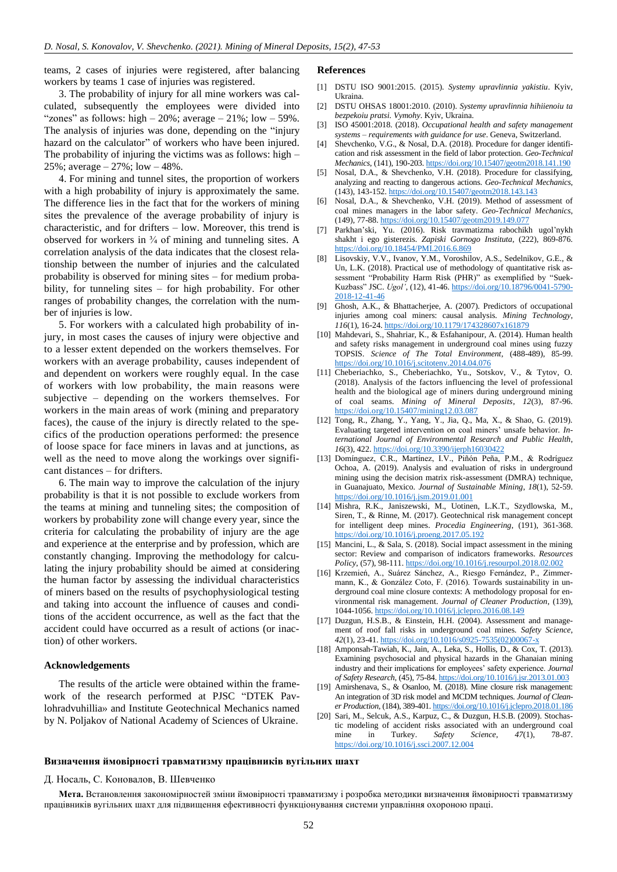teams, 2 cases of injuries were registered, after balancing workers by teams 1 case of injuries was registered.

# 3. The probability of injury for all mine workers was calculated, subsequently the employees were divided into "zones" as follows: high  $-20\%$ ; average  $-21\%$ ; low  $-59\%$ . The analysis of injuries was done, depending on the "injury hazard on the calculator" of workers who have been injured. The probability of injuring the victims was as follows: high – 25%; average – 27%; low – 48%.

4. For mining and tunnel sites, the proportion of workers with a high probability of injury is approximately the same. The difference lies in the fact that for the workers of mining sites the prevalence of the average probability of injury is characteristic, and for drifters – low. Moreover, this trend is observed for workers in  $\frac{3}{4}$  of mining and tunneling sites. A correlation analysis of the data indicates that the closest relationship between the number of injuries and the calculated probability is observed for mining sites – for medium probability, for tunneling sites – for high probability. For other ranges of probability changes, the correlation with the number of injuries is low.

5. For workers with a calculated high probability of injury, in most cases the causes of injury were objective and to a lesser extent depended on the workers themselves. For workers with an average probability, causes independent of and dependent on workers were roughly equal. In the case of workers with low probability, the main reasons were subjective – depending on the workers themselves. For workers in the main areas of work (mining and preparatory faces), the cause of the injury is directly related to the specifics of the production operations performed: the presence of loose space for face miners in lavas and at junctions, as well as the need to move along the workings over significant distances – for drifters.

6. The main way to improve the calculation of the injury probability is that it is not possible to exclude workers from the teams at mining and tunneling sites; the composition of workers by probability zone will change every year, since the criteria for calculating the probability of injury are the age and experience at the enterprise and by profession, which are constantly changing. Improving the methodology for calculating the injury probability should be aimed at considering the human factor by assessing the individual characteristics of miners based on the results of psychophysiological testing and taking into account the influence of causes and conditions of the accident occurrence, as well as the fact that the accident could have occurred as a result of actions (or inaction) of other workers.

#### **Acknowledgements**

The results of the article were obtained within the framework of the research performed at PJSC "DTEK Pavlohradvuhillia» and Institute Geotechnical Mechanics named by N. Poljakov of National Academy of Sciences of Ukraine.

### **References**

- <span id="page-5-0"></span>[1] DSTU ISO 9001:2015. (2015). *Systemy upravlinnia yakistiu*. Kyiv, Ukraina.
- [2] DSTU OHSAS 18001:2010. (2010). *Systemy upravlinnia hihiienoiu ta bezpekoiu pratsi. Vymohy*. Kyiv, Ukraina.
- <span id="page-5-1"></span>[3] ISO 45001:2018. (2018). *Occupational health and safety management systems – requirements with guidance for use*. Geneva, Switzerland.
- <span id="page-5-2"></span>[4] Shevchenko, V.G., & Nosal, D.A. (2018). Procedure for danger identification and risk assessment in the field of labor protection. *Geo-Technical Mechanics*, (141), 190-203[. https://doi.org/10.15407/geotm2018.141.190](https://doi.org/10.15407/geotm2018.141.190)
- [5] Nosal, D.A., & Shevchenko, V.H. (2018). Procedure for classifying, analyzing and reacting to dangerous actions. *Geo-Technical Mechanics*, (143), 143-152[. https://doi.org/10.15407/geotm2018.143.143](https://doi.org/10.15407/geotm2018.143.143)
- <span id="page-5-3"></span>[6] Nosal, D.A., & Shevchenko, V.H. (2019). Method of assessment of coal mines managers in the labor safety. *Geo-Technical Mechanics*, (149), 77-88[. https://doi.org/10.15407/geotm2019.149.077](https://doi.org/10.15407/geotm2019.149.077)
- <span id="page-5-4"></span>[7] Parkhan'ski, Yu. (2016). Risk travmatizma rabochikh ugol'nykh shakht i ego gisterezis. *Zapiski Gornogo Instituta*, (222), 869-876. <https://doi.org/10.18454/PMI.2016.6.869>
- <span id="page-5-5"></span>[8] Lisovskiy, V.V., Ivanov, Y.M., Voroshilov, A.S., Sedelnikov, G.E., & Un, L.K. (2018). Practical use of methodology of quantitative risk assessment "Probability Harm Risk (PHR)" as exemplified by "Suek-Kuzbass" JSC. *Ugol'*, (12), 41-46. [https://doi.org/10.18796/0041-5790-](https://doi.org/10.18796/0041-5790-2018-12-41-46) [2018-12-41-46](https://doi.org/10.18796/0041-5790-2018-12-41-46)
- <span id="page-5-6"></span>[9] Ghosh, A.K., & Bhattacherjee, A. (2007). Predictors of occupational injuries among coal miners: causal analysis. *Mining Technology*, *116*(1), 16-24[. https://doi.org/10.1179/174328607x161879](https://doi.org/10.1179/174328607x161879)
- <span id="page-5-7"></span>[10] Mahdevari, S., Shahriar, K., & Esfahanipour, A. (2014). Human health and safety risks management in underground coal mines using fuzzy TOPSIS. *Science of The Total Environment*, (488-489), 85-99. <https://doi.org/10.1016/j.scitotenv.2014.04.076>
- <span id="page-5-8"></span>[11] Cheberiachko, S., Cheberiachko, Yu., Sotskov, V., & Tytov, O. (2018). Analysis of the factors influencing the level of professional health and the biological age of miners during underground mining of coal seams. *Mining of Mineral Deposits*, *12*(3), 87-96. <https://doi.org/10.15407/mining12.03.087>
- <span id="page-5-9"></span>[12] Tong, R., Zhang, Y., Yang, Y., Jia, Q., Ma, X., & Shao, G. (2019). Evaluating targeted intervention on coal miners' unsafe behavior. *International Journal of Environmental Research and Public Health*, *16*(3), 422[. https://doi.org/10.3390/ijerph16030422](https://doi.org/10.3390/ijerph16030422)
- <span id="page-5-10"></span>[13] Domínguez, C.R., Martínez, I.V., Piñón Peña, P.M., & Rodríguez Ochoa, A. (2019). Analysis and evaluation of risks in underground mining using the decision matrix risk-assessment (DMRA) technique, in Guanajuato, Mexico. *Journal of Sustainable Mining*, *18*(1), 52-59. <https://doi.org/10.1016/j.jsm.2019.01.001>
- <span id="page-5-11"></span>[14] Mishra, R.K., Janiszewski, M., Uotinen, L.K.T., Szydlowska, M., Siren, T., & Rinne, M. (2017). Geotechnical risk management concept for intelligent deep mines. *Procedia Engineering*, (191), 361-368. <https://doi.org/10.1016/j.proeng.2017.05.192>
- [15] Mancini, L., & Sala, S. (2018). Social impact assessment in the mining sector: Review and comparison of indicators frameworks. *Resources Policy*, (57), 98-111[. https://doi.org/10.1016/j.resourpol.2018.02.002](https://doi.org/10.1016/j.resourpol.2018.02.002)
- [16] Krzemień, A., Suárez Sánchez, A., Riesgo Fernández, P., Zimmermann, K., & González Coto, F. (2016). Towards sustainability in underground coal mine closure contexts: A methodology proposal for environmental risk management. *Journal of Cleaner Production*, (139), 1044-1056[. https://doi.org/10.1016/j.jclepro.2016.08.149](https://doi.org/10.1016/j.jclepro.2016.08.149)
- [17] Duzgun, H.S.B., & Einstein, H.H. (2004). Assessment and management of roof fall risks in underground coal mines. *Safety Science*, *42*(1), 23-41[. https://doi.org/10.1016/s0925-7535\(02\)00067-x](https://doi.org/10.1016/s0925-7535(02)00067-x)
- [18] Amponsah-Tawiah, K., Jain, A., Leka, S., Hollis, D., & Cox, T. (2013). Examining psychosocial and physical hazards in the Ghanaian mining industry and their implications for employees' safety experience. *Journal of Safety Research*, (45), 75-84[. https://doi.org/10.1016/j.jsr.2013.01.003](https://doi.org/10.1016/j.jsr.2013.01.003)
- [19] Amirshenava, S., & Osanloo, M. (2018). Mine closure risk management: An integration of 3D risk model and MCDM techniques. *Journal of Cleaner Production*, (184), 389-401[. https://doi.org/10.1016/j.jclepro.2018.01.186](https://doi.org/10.1016/j.jclepro.2018.01.186)
- <span id="page-5-12"></span>[20] Sari, M., Selcuk, A.S., Karpuz, C., & Duzgun, H.S.B. (2009). Stochastic modeling of accident risks associated with an underground coal mine in Turkey. *Safety Science*, *47*(1), 78-87. <https://doi.org/10.1016/j.ssci.2007.12.004>

# **Визначення ймовірності травматизму працівників вугільних шахт**

### Д. Носаль, С. Коновалов, В. Шевченко

**Мета.** Встановлення закономірностей зміни ймовірності травматизму і розробка методики визначення ймовірності травматизму працівників вугільних шахт для підвищення ефективності функціонування системи управління охороною праці.